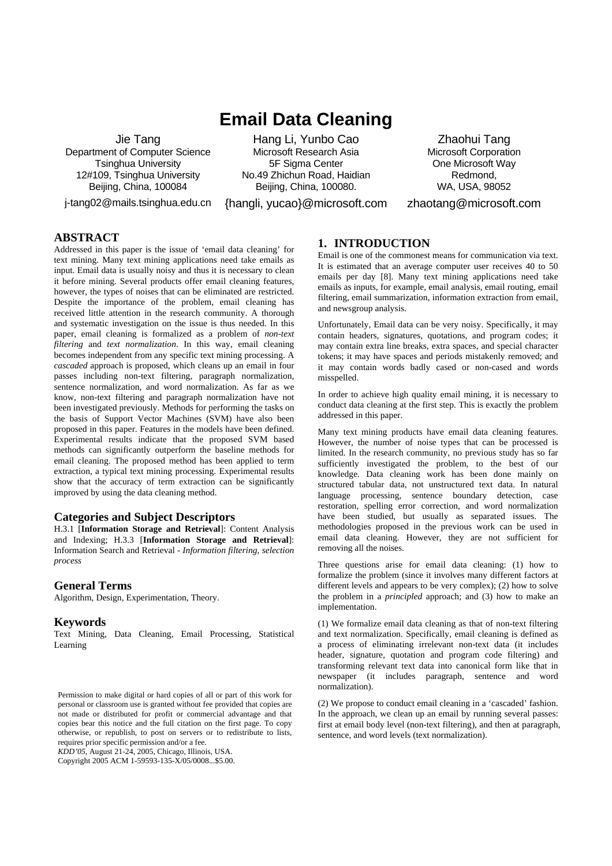# **Email Data Cleaning**

Jie Tang Department of Computer Science Tsinghua University 12#109, Tsinghua University Beijing, China, 100084

j-tang02@mails.tsinghua.edu.cn

Hang Li, Yunbo Cao Microsoft Research Asia 5F Sigma Center No.49 Zhichun Road, Haidian Beijing, China, 100080.

{hangli, yucao}@microsoft.com

Zhaohui Tang Microsoft Corporation One Microsoft Way Redmond, WA, USA, 98052

zhaotang@microsoft.com

# **ABSTRACT**

Addressed in this paper is the issue of 'email data cleaning' for text mining. Many text mining applications need take emails as input. Email data is usually noisy and thus it is necessary to clean it before mining. Several products offer email cleaning features, however, the types of noises that can be eliminated are restricted. Despite the importance of the problem, email cleaning has received little attention in the research community. A thorough and systematic investigation on the issue is thus needed. In this paper, email cleaning is formalized as a problem of *non-text filtering* and *text normalization*. In this way, email cleaning becomes independent from any specific text mining processing. A *cascaded* approach is proposed, which cleans up an email in four passes including non-text filtering, paragraph normalization, sentence normalization, and word normalization. As far as we know, non-text filtering and paragraph normalization have not been investigated previously. Methods for performing the tasks on the basis of Support Vector Machines (SVM) have also been proposed in this paper. Features in the models have been defined. Experimental results indicate that the proposed SVM based methods can significantly outperform the baseline methods for email cleaning. The proposed method has been applied to term extraction, a typical text mining processing. Experimental results show that the accuracy of term extraction can be significantly improved by using the data cleaning method.

## **Categories and Subject Descriptors**

H.3.1 [**Information Storage and Retrieval**]: Content Analysis and Indexing; H.3.3 [**Information Storage and Retrieval**]: Information Search and Retrieval - *Information filtering, selection process* 

## **General Terms**

Algorithm, Design, Experimentation, Theory.

## **Keywords**

Text Mining, Data Cleaning, Email Processing, Statistical Learning

*KDD'05*, August 21-24, 2005, Chicago, Illinois, USA.

Copyright 2005 ACM 1-59593-135-X/05/0008...\$5.00.

# **1. INTRODUCTION**

Email is one of the commonest means for communication via text. It is estimated that an average computer user receives 40 to 50 emails per day [8]. Many text mining applications need take emails as inputs, for example, email analysis, email routing, email filtering, email summarization, information extraction from email, and newsgroup analysis.

Unfortunately, Email data can be very noisy. Specifically, it may contain headers, signatures, quotations, and program codes; it may contain extra line breaks, extra spaces, and special character tokens; it may have spaces and periods mistakenly removed; and it may contain words badly cased or non-cased and words misspelled.

In order to achieve high quality email mining, it is necessary to conduct data cleaning at the first step. This is exactly the problem addressed in this paper.

Many text mining products have email data cleaning features. However, the number of noise types that can be processed is limited. In the research community, no previous study has so far sufficiently investigated the problem, to the best of our knowledge. Data cleaning work has been done mainly on structured tabular data, not unstructured text data. In natural language processing, sentence boundary detection, case restoration, spelling error correction, and word normalization have been studied, but usually as separated issues. The methodologies proposed in the previous work can be used in email data cleaning. However, they are not sufficient for removing all the noises.

Three questions arise for email data cleaning: (1) how to formalize the problem (since it involves many different factors at different levels and appears to be very complex); (2) how to solve the problem in a *principled* approach; and (3) how to make an implementation.

(1) We formalize email data cleaning as that of non-text filtering and text normalization. Specifically, email cleaning is defined as a process of eliminating irrelevant non-text data (it includes header, signature, quotation and program code filtering) and transforming relevant text data into canonical form like that in newspaper (it includes paragraph, sentence and word normalization).

(2) We propose to conduct email cleaning in a 'cascaded' fashion. In the approach, we clean up an email by running several passes: first at email body level (non-text filtering), and then at paragraph, sentence, and word levels (text normalization).

Permission to make digital or hard copies of all or part of this work for personal or classroom use is granted without fee provided that copies are not made or distributed for profit or commercial advantage and that copies bear this notice and the full citation on the first page. To copy otherwise, or republish, to post on servers or to redistribute to lists, requires prior specific permission and/or a fee.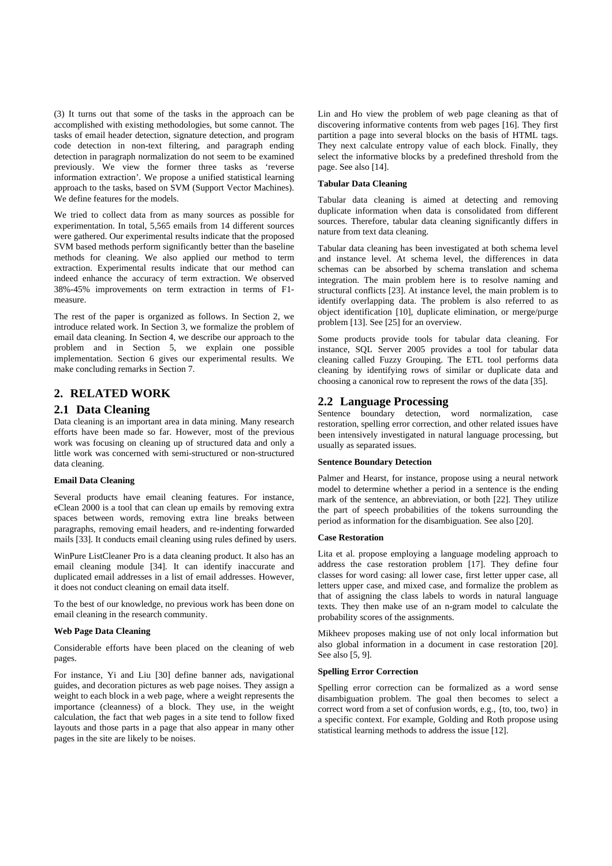(3) It turns out that some of the tasks in the approach can be accomplished with existing methodologies, but some cannot. The tasks of email header detection, signature detection, and program code detection in non-text filtering, and paragraph ending detection in paragraph normalization do not seem to be examined previously. We view the former three tasks as 'reverse information extraction'. We propose a unified statistical learning approach to the tasks, based on SVM (Support Vector Machines). We define features for the models.

We tried to collect data from as many sources as possible for experimentation. In total, 5,565 emails from 14 different sources were gathered. Our experimental results indicate that the proposed SVM based methods perform significantly better than the baseline methods for cleaning. We also applied our method to term extraction. Experimental results indicate that our method can indeed enhance the accuracy of term extraction. We observed 38%-45% improvements on term extraction in terms of F1 measure.

The rest of the paper is organized as follows. In Section 2, we introduce related work. In Section 3, we formalize the problem of email data cleaning. In Section 4, we describe our approach to the problem and in Section 5, we explain one possible implementation. Section 6 gives our experimental results. We make concluding remarks in Section 7.

# **2. RELATED WORK**

## **2.1 Data Cleaning**

Data cleaning is an important area in data mining. Many research efforts have been made so far. However, most of the previous work was focusing on cleaning up of structured data and only a little work was concerned with semi-structured or non-structured data cleaning.

## **Email Data Cleaning**

Several products have email cleaning features. For instance, eClean 2000 is a tool that can clean up emails by removing extra spaces between words, removing extra line breaks between paragraphs, removing email headers, and re-indenting forwarded mails [33]. It conducts email cleaning using rules defined by users.

WinPure ListCleaner Pro is a data cleaning product. It also has an email cleaning module [34]. It can identify inaccurate and duplicated email addresses in a list of email addresses. However, it does not conduct cleaning on email data itself.

To the best of our knowledge, no previous work has been done on email cleaning in the research community.

## **Web Page Data Cleaning**

Considerable efforts have been placed on the cleaning of web pages.

For instance, Yi and Liu [30] define banner ads, navigational guides, and decoration pictures as web page noises. They assign a weight to each block in a web page, where a weight represents the importance (cleanness) of a block. They use, in the weight calculation, the fact that web pages in a site tend to follow fixed layouts and those parts in a page that also appear in many other pages in the site are likely to be noises.

Lin and Ho view the problem of web page cleaning as that of discovering informative contents from web pages [16]. They first partition a page into several blocks on the basis of HTML tags. They next calculate entropy value of each block. Finally, they select the informative blocks by a predefined threshold from the page. See also [14].

#### **Tabular Data Cleaning**

Tabular data cleaning is aimed at detecting and removing duplicate information when data is consolidated from different sources. Therefore, tabular data cleaning significantly differs in nature from text data cleaning.

Tabular data cleaning has been investigated at both schema level and instance level. At schema level, the differences in data schemas can be absorbed by schema translation and schema integration. The main problem here is to resolve naming and structural conflicts [23]. At instance level, the main problem is to identify overlapping data. The problem is also referred to as object identification [10], duplicate elimination, or merge/purge problem [13]. See [25] for an overview.

Some products provide tools for tabular data cleaning. For instance, SQL Server 2005 provides a tool for tabular data cleaning called Fuzzy Grouping. The ETL tool performs data cleaning by identifying rows of similar or duplicate data and choosing a canonical row to represent the rows of the data [35].

# **2.2 Language Processing**

Sentence boundary detection, word normalization, case restoration, spelling error correction, and other related issues have been intensively investigated in natural language processing, but usually as separated issues.

## **Sentence Boundary Detection**

Palmer and Hearst, for instance, propose using a neural network model to determine whether a period in a sentence is the ending mark of the sentence, an abbreviation, or both [22]. They utilize the part of speech probabilities of the tokens surrounding the period as information for the disambiguation. See also [20].

#### **Case Restoration**

Lita et al. propose employing a language modeling approach to address the case restoration problem [17]. They define four classes for word casing: all lower case, first letter upper case, all letters upper case, and mixed case, and formalize the problem as that of assigning the class labels to words in natural language texts. They then make use of an n-gram model to calculate the probability scores of the assignments.

Mikheev proposes making use of not only local information but also global information in a document in case restoration [20]. See also [5, 9].

#### **Spelling Error Correction**

Spelling error correction can be formalized as a word sense disambiguation problem. The goal then becomes to select a correct word from a set of confusion words, e.g., {to, too, two} in a specific context. For example, Golding and Roth propose using statistical learning methods to address the issue [12].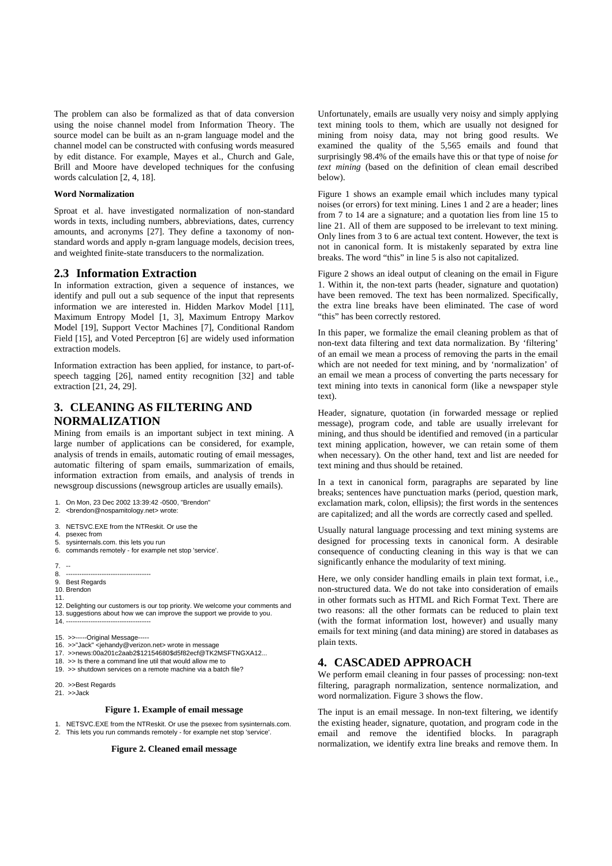The problem can also be formalized as that of data conversion using the noise channel model from Information Theory. The source model can be built as an n-gram language model and the channel model can be constructed with confusing words measured by edit distance. For example, Mayes et al., Church and Gale, Brill and Moore have developed techniques for the confusing words calculation [2, 4, 18].

#### **Word Normalization**

Sproat et al. have investigated normalization of non-standard words in texts, including numbers, abbreviations, dates, currency amounts, and acronyms [27]. They define a taxonomy of nonstandard words and apply n-gram language models, decision trees, and weighted finite-state transducers to the normalization.

#### **2.3 Information Extraction**

In information extraction, given a sequence of instances, we identify and pull out a sub sequence of the input that represents information we are interested in. Hidden Markov Model [11], Maximum Entropy Model [1, 3], Maximum Entropy Markov Model [19], Support Vector Machines [7], Conditional Random Field [15], and Voted Perceptron [6] are widely used information extraction models.

Information extraction has been applied, for instance, to part-ofspeech tagging [26], named entity recognition [32] and table extraction [21, 24, 29].

# **3. CLEANING AS FILTERING AND NORMALIZATION**

Mining from emails is an important subject in text mining. A large number of applications can be considered, for example, analysis of trends in emails, automatic routing of email messages, automatic filtering of spam emails, summarization of emails, information extraction from emails, and analysis of trends in newsgroup discussions (newsgroup articles are usually emails).

- 1. On Mon, 23 Dec 2002 13:39:42 -0500, "Brendon"
- 2. <br/>brendon@nospamitology.net> wrote:
- 3. NETSVC.EXE from the NTReskit. Or use the
- 4. psexec from
- 5. sysinternals.com. this lets you run
- 6. commands remotely for example net stop 'service'.
- $\overline{7}$ .
- 8. -------------------------------------- 9. Best Regards
- 10. Brendon
- 

11.

12. Delighting our customers is our top priority. We welcome your comments and 13. suggestions about how we can improve the support we provide to you. 14. --------------------------------------

-----Original Message-----

- 16. >>"Jack" <jehandy@verizon.net> wrote in message
- 17. >>news:00a201c2aab2\$12154680\$d5f82ecf@TK2MSFTNGXA12... 18. >> Is there a command line util that would allow me to
- 19. >> shutdown services on a remote machine via a batch file?
- 
- 20. >>Best Regards
- 21. >>Jack

#### **Figure 1. Example of email message**

- 1. NETSVC.EXE from the NTReskit. Or use the psexec from sysinternals.com.
- 2. This lets you run commands remotely for example net stop 'service'.

**Figure 2. Cleaned email message** 

Unfortunately, emails are usually very noisy and simply applying text mining tools to them, which are usually not designed for mining from noisy data, may not bring good results. We examined the quality of the 5,565 emails and found that surprisingly 98.4% of the emails have this or that type of noise *for text mining* (based on the definition of clean email described below).

Figure 1 shows an example email which includes many typical noises (or errors) for text mining. Lines 1 and 2 are a header; lines from 7 to 14 are a signature; and a quotation lies from line 15 to line 21. All of them are supposed to be irrelevant to text mining. Only lines from 3 to 6 are actual text content. However, the text is not in canonical form. It is mistakenly separated by extra line breaks. The word "this" in line 5 is also not capitalized.

Figure 2 shows an ideal output of cleaning on the email in Figure 1. Within it, the non-text parts (header, signature and quotation) have been removed. The text has been normalized. Specifically, the extra line breaks have been eliminated. The case of word "this" has been correctly restored.

In this paper, we formalize the email cleaning problem as that of non-text data filtering and text data normalization. By 'filtering' of an email we mean a process of removing the parts in the email which are not needed for text mining, and by 'normalization' of an email we mean a process of converting the parts necessary for text mining into texts in canonical form (like a newspaper style text).

Header, signature, quotation (in forwarded message or replied message), program code, and table are usually irrelevant for mining, and thus should be identified and removed (in a particular text mining application, however, we can retain some of them when necessary). On the other hand, text and list are needed for text mining and thus should be retained.

In a text in canonical form, paragraphs are separated by line breaks; sentences have punctuation marks (period, question mark, exclamation mark, colon, ellipsis); the first words in the sentences are capitalized; and all the words are correctly cased and spelled.

Usually natural language processing and text mining systems are designed for processing texts in canonical form. A desirable consequence of conducting cleaning in this way is that we can significantly enhance the modularity of text mining.

Here, we only consider handling emails in plain text format, i.e., non-structured data. We do not take into consideration of emails in other formats such as HTML and Rich Format Text. There are two reasons: all the other formats can be reduced to plain text (with the format information lost, however) and usually many emails for text mining (and data mining) are stored in databases as plain texts.

# **4. CASCADED APPROACH**

We perform email cleaning in four passes of processing: non-text filtering, paragraph normalization, sentence normalization, and word normalization. Figure 3 shows the flow.

The input is an email message. In non-text filtering, we identify the existing header, signature, quotation, and program code in the email and remove the identified blocks. In paragraph normalization, we identify extra line breaks and remove them. In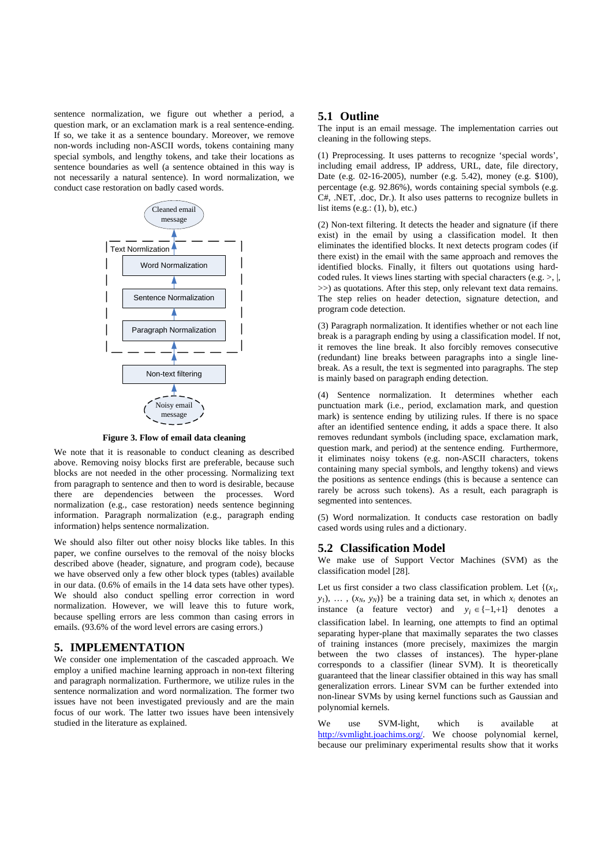sentence normalization, we figure out whether a period, a question mark, or an exclamation mark is a real sentence-ending. If so, we take it as a sentence boundary. Moreover, we remove non-words including non-ASCII words, tokens containing many special symbols, and lengthy tokens, and take their locations as sentence boundaries as well (a sentence obtained in this way is not necessarily a natural sentence). In word normalization, we conduct case restoration on badly cased words.



**Figure 3. Flow of email data cleaning** 

We note that it is reasonable to conduct cleaning as described above. Removing noisy blocks first are preferable, because such blocks are not needed in the other processing. Normalizing text from paragraph to sentence and then to word is desirable, because there are dependencies between the processes. Word normalization (e.g., case restoration) needs sentence beginning information. Paragraph normalization (e.g., paragraph ending information) helps sentence normalization.

We should also filter out other noisy blocks like tables. In this paper, we confine ourselves to the removal of the noisy blocks described above (header, signature, and program code), because we have observed only a few other block types (tables) available in our data. (0.6% of emails in the 14 data sets have other types). We should also conduct spelling error correction in word normalization. However, we will leave this to future work, because spelling errors are less common than casing errors in emails. (93.6% of the word level errors are casing errors.)

## **5. IMPLEMENTATION**

We consider one implementation of the cascaded approach. We employ a unified machine learning approach in non-text filtering and paragraph normalization. Furthermore, we utilize rules in the sentence normalization and word normalization. The former two issues have not been investigated previously and are the main focus of our work. The latter two issues have been intensively studied in the literature as explained.

# **5.1 Outline**

The input is an email message. The implementation carries out cleaning in the following steps.

(1) Preprocessing. It uses patterns to recognize 'special words', including email address, IP address, URL, date, file directory, Date (e.g. 02-16-2005), number (e.g. 5.42), money (e.g. \$100), percentage (e.g. 92.86%), words containing special symbols (e.g. C#, .NET, .doc, Dr.). It also uses patterns to recognize bullets in list items  $(e.g.: (1), b)$ , etc.)

(2) Non-text filtering. It detects the header and signature (if there exist) in the email by using a classification model. It then eliminates the identified blocks. It next detects program codes (if there exist) in the email with the same approach and removes the identified blocks. Finally, it filters out quotations using hardcoded rules. It views lines starting with special characters  $(e.g. >, \cdot)$ , >>) as quotations. After this step, only relevant text data remains. The step relies on header detection, signature detection, and program code detection.

(3) Paragraph normalization. It identifies whether or not each line break is a paragraph ending by using a classification model. If not, it removes the line break. It also forcibly removes consecutive (redundant) line breaks between paragraphs into a single linebreak. As a result, the text is segmented into paragraphs. The step is mainly based on paragraph ending detection.

(4) Sentence normalization. It determines whether each punctuation mark (i.e., period, exclamation mark, and question mark) is sentence ending by utilizing rules. If there is no space after an identified sentence ending, it adds a space there. It also removes redundant symbols (including space, exclamation mark, question mark, and period) at the sentence ending. Furthermore, it eliminates noisy tokens (e.g. non-ASCII characters, tokens containing many special symbols, and lengthy tokens) and views the positions as sentence endings (this is because a sentence can rarely be across such tokens). As a result, each paragraph is segmented into sentences.

(5) Word normalization. It conducts case restoration on badly cased words using rules and a dictionary.

## **5.2 Classification Model**

We make use of Support Vector Machines (SVM) as the classification model [28].

Let us first consider a two class classification problem. Let  $\{(x_1, x_2, \ldots, x_n)\}$  $y_1$ ), ...,  $(x_N, y_N)$ } be a training data set, in which  $x_i$  denotes an instance (a feature vector) and  $y_i \in \{-1, +1\}$  denotes a classification label. In learning, one attempts to find an optimal separating hyper-plane that maximally separates the two classes of training instances (more precisely, maximizes the margin between the two classes of instances). The hyper-plane corresponds to a classifier (linear SVM). It is theoretically guaranteed that the linear classifier obtained in this way has small generalization errors. Linear SVM can be further extended into non-linear SVMs by using kernel functions such as Gaussian and polynomial kernels.

We use SVM-light, which is available at http://svmlight.joachims.org/. We choose polynomial kernel, because our preliminary experimental results show that it works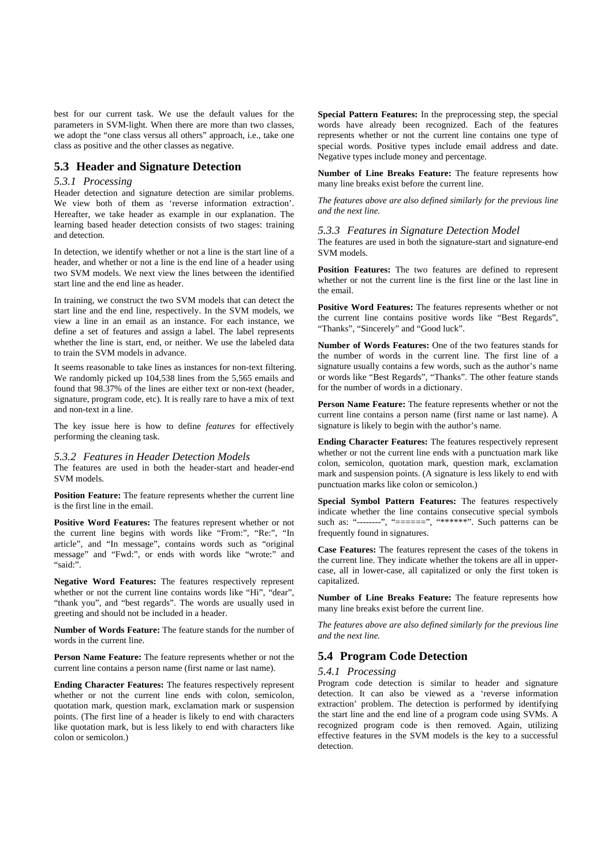best for our current task. We use the default values for the parameters in SVM-light. When there are more than two classes, we adopt the "one class versus all others" approach, i.e., take one class as positive and the other classes as negative.

## **5.3 Header and Signature Detection**

## *5.3.1 Processing*

Header detection and signature detection are similar problems. We view both of them as 'reverse information extraction'. Hereafter, we take header as example in our explanation. The learning based header detection consists of two stages: training and detection.

In detection, we identify whether or not a line is the start line of a header, and whether or not a line is the end line of a header using two SVM models. We next view the lines between the identified start line and the end line as header.

In training, we construct the two SVM models that can detect the start line and the end line, respectively. In the SVM models, we view a line in an email as an instance. For each instance, we define a set of features and assign a label. The label represents whether the line is start, end, or neither. We use the labeled data to train the SVM models in advance.

It seems reasonable to take lines as instances for non-text filtering. We randomly picked up 104,538 lines from the 5,565 emails and found that 98.37% of the lines are either text or non-text (header, signature, program code, etc). It is really rare to have a mix of text and non-text in a line.

The key issue here is how to define *features* for effectively performing the cleaning task.

## *5.3.2 Features in Header Detection Models*

The features are used in both the header-start and header-end SVM models.

**Position Feature:** The feature represents whether the current line is the first line in the email.

**Positive Word Features:** The features represent whether or not the current line begins with words like "From:", "Re:", "In article", and "In message", contains words such as "original message" and "Fwd:", or ends with words like "wrote:" and "said:".

**Negative Word Features:** The features respectively represent whether or not the current line contains words like "Hi", "dear", "thank you", and "best regards". The words are usually used in greeting and should not be included in a header.

**Number of Words Feature:** The feature stands for the number of words in the current line.

**Person Name Feature:** The feature represents whether or not the current line contains a person name (first name or last name).

**Ending Character Features:** The features respectively represent whether or not the current line ends with colon, semicolon, quotation mark, question mark, exclamation mark or suspension points. (The first line of a header is likely to end with characters like quotation mark, but is less likely to end with characters like colon or semicolon.)

**Special Pattern Features:** In the preprocessing step, the special words have already been recognized. Each of the features represents whether or not the current line contains one type of special words. Positive types include email address and date. Negative types include money and percentage.

**Number of Line Breaks Feature:** The feature represents how many line breaks exist before the current line.

*The features above are also defined similarly for the previous line and the next line.*

#### *5.3.3 Features in Signature Detection Model*

The features are used in both the signature-start and signature-end SVM models.

**Position Features:** The two features are defined to represent whether or not the current line is the first line or the last line in the email.

**Positive Word Features:** The features represents whether or not the current line contains positive words like "Best Regards", "Thanks", "Sincerely" and "Good luck".

**Number of Words Features:** One of the two features stands for the number of words in the current line. The first line of a signature usually contains a few words, such as the author's name or words like "Best Regards", "Thanks". The other feature stands for the number of words in a dictionary.

**Person Name Feature:** The feature represents whether or not the current line contains a person name (first name or last name). A signature is likely to begin with the author's name.

**Ending Character Features:** The features respectively represent whether or not the current line ends with a punctuation mark like colon, semicolon, quotation mark, question mark, exclamation mark and suspension points. (A signature is less likely to end with punctuation marks like colon or semicolon.)

**Special Symbol Pattern Features:** The features respectively indicate whether the line contains consecutive special symbols such as: "--------", "======", "\*\*\*\*\*\*". Such patterns can be frequently found in signatures.

**Case Features:** The features represent the cases of the tokens in the current line. They indicate whether the tokens are all in uppercase, all in lower-case, all capitalized or only the first token is capitalized.

**Number of Line Breaks Feature:** The feature represents how many line breaks exist before the current line.

*The features above are also defined similarly for the previous line and the next line.*

# **5.4 Program Code Detection**

# *5.4.1 Processing*

Program code detection is similar to header and signature detection. It can also be viewed as a 'reverse information extraction' problem. The detection is performed by identifying the start line and the end line of a program code using SVMs. A recognized program code is then removed. Again, utilizing effective features in the SVM models is the key to a successful detection.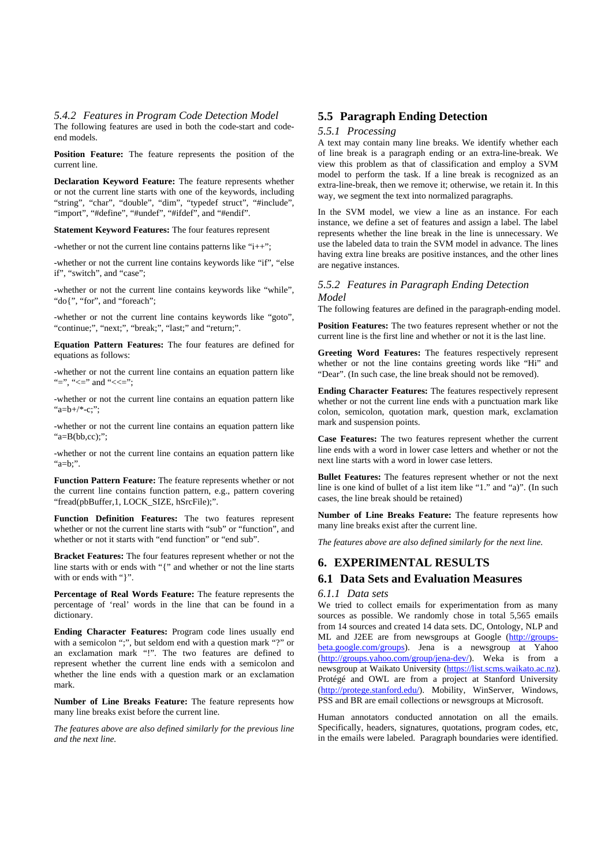#### *5.4.2 Features in Program Code Detection Model*

The following features are used in both the code-start and codeend models.

**Position Feature:** The feature represents the position of the current line.

**Declaration Keyword Feature:** The feature represents whether or not the current line starts with one of the keywords, including "string", "char", "double", "dim", "typedef struct", "#include", "import", "#define", "#undef", "#ifdef", and "#endif".

**Statement Keyword Features:** The four features represent

-whether or not the current line contains patterns like "i++";

-whether or not the current line contains keywords like "if", "else if", "switch", and "case";

**-**whether or not the current line contains keywords like "while", "do{", "for", and "foreach";

-whether or not the current line contains keywords like "goto", "continue;", "next;", "break;", "last;" and "return;".

**Equation Pattern Features:** The four features are defined for equations as follows:

-whether or not the current line contains an equation pattern like "=", "<=" and "<<=";

-whether or not the current line contains an equation pattern like "a=b+/\*-c;";

-whether or not the current line contains an equation pattern like "a=B(bb,cc);";

-whether or not the current line contains an equation pattern like " $a=b$ :".

**Function Pattern Feature:** The feature represents whether or not the current line contains function pattern, e.g., pattern covering "fread(pbBuffer,1, LOCK\_SIZE, hSrcFile);".

**Function Definition Features:** The two features represent whether or not the current line starts with "sub" or "function", and whether or not it starts with "end function" or "end sub".

**Bracket Features:** The four features represent whether or not the line starts with or ends with "{" and whether or not the line starts with or ends with "}".

**Percentage of Real Words Feature:** The feature represents the percentage of 'real' words in the line that can be found in a dictionary.

**Ending Character Features:** Program code lines usually end with a semicolon ";", but seldom end with a question mark "?" or an exclamation mark "!". The two features are defined to represent whether the current line ends with a semicolon and whether the line ends with a question mark or an exclamation mark.

**Number of Line Breaks Feature:** The feature represents how many line breaks exist before the current line.

*The features above are also defined similarly for the previous line and the next line.*

# **5.5 Paragraph Ending Detection**

#### *5.5.1 Processing*

A text may contain many line breaks. We identify whether each of line break is a paragraph ending or an extra-line-break. We view this problem as that of classification and employ a SVM model to perform the task. If a line break is recognized as an extra-line-break, then we remove it; otherwise, we retain it. In this way, we segment the text into normalized paragraphs.

In the SVM model, we view a line as an instance. For each instance, we define a set of features and assign a label. The label represents whether the line break in the line is unnecessary. We use the labeled data to train the SVM model in advance. The lines having extra line breaks are positive instances, and the other lines are negative instances.

## *5.5.2 Features in Paragraph Ending Detection Model*

The following features are defined in the paragraph-ending model.

**Position Features:** The two features represent whether or not the current line is the first line and whether or not it is the last line.

**Greeting Word Features:** The features respectively represent whether or not the line contains greeting words like "Hi" and "Dear". (In such case, the line break should not be removed).

**Ending Character Features:** The features respectively represent whether or not the current line ends with a punctuation mark like colon, semicolon, quotation mark, question mark, exclamation mark and suspension points.

**Case Features:** The two features represent whether the current line ends with a word in lower case letters and whether or not the next line starts with a word in lower case letters.

**Bullet Features:** The features represent whether or not the next line is one kind of bullet of a list item like "1." and "a)". (In such cases, the line break should be retained)

**Number of Line Breaks Feature:** The feature represents how many line breaks exist after the current line.

*The features above are also defined similarly for the next line.*

# **6. EXPERIMENTAL RESULTS**

# **6.1 Data Sets and Evaluation Measures**

#### *6.1.1 Data sets*

We tried to collect emails for experimentation from as many sources as possible. We randomly chose in total 5,565 emails from 14 sources and created 14 data sets. DC, Ontology, NLP and ML and J2EE are from newsgroups at Google (http://groupsbeta.google.com/groups). Jena is a newsgroup at Yahoo (http://groups.yahoo.com/group/jena-dev/). Weka is from a newsgroup at Waikato University (https://list.scms.waikato.ac.nz). Protégé and OWL are from a project at Stanford University (http://protege.stanford.edu/). Mobility, WinServer, Windows, PSS and BR are email collections or newsgroups at Microsoft.

Human annotators conducted annotation on all the emails. Specifically, headers, signatures, quotations, program codes, etc, in the emails were labeled. Paragraph boundaries were identified.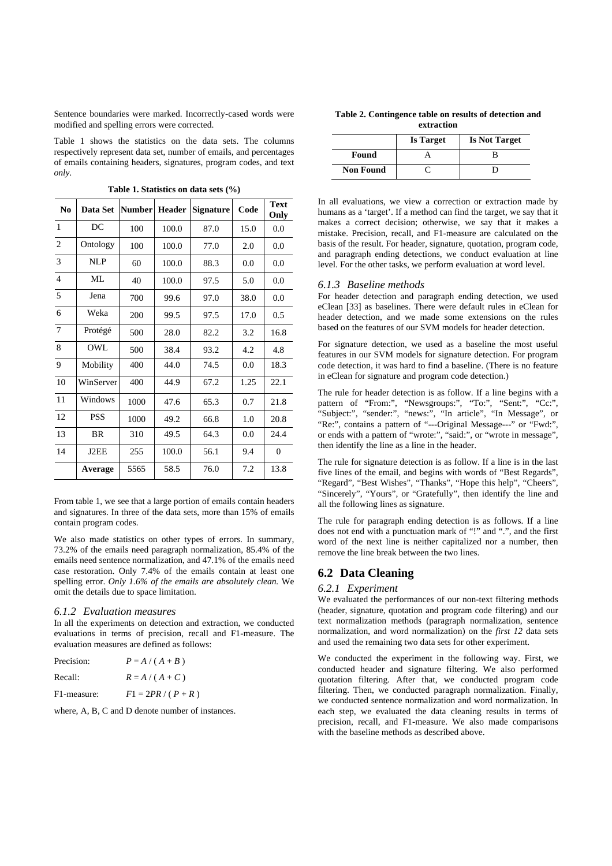Sentence boundaries were marked. Incorrectly-cased words were modified and spelling errors were corrected.

Table 1 shows the statistics on the data sets. The columns respectively represent data set, number of emails, and percentages of emails containing headers, signatures, program codes, and text *only*.

| N <sub>0</sub> | Data Set   | <b>Number</b> | <b>Header</b> | <b>Signature</b> | Code | <b>Text</b><br>Only |
|----------------|------------|---------------|---------------|------------------|------|---------------------|
| $\mathbf{1}$   | DC         | 100           | 100.0         | 87.0             | 15.0 | 0.0                 |
| $\overline{c}$ | Ontology   | 100           | 100.0         | 77.0             | 2.0  | 0.0                 |
| 3              | <b>NLP</b> | 60            | 100.0         | 88.3             | 0.0  | 0.0                 |
| $\overline{4}$ | ML         | 40            | 100.0         | 97.5             | 5.0  | 0.0                 |
| 5              | Jena       | 700           | 99.6          | 97.0             | 38.0 | 0.0                 |
| 6              | Weka       | 200           | 99.5          | 97.5             | 17.0 | 0.5                 |
| $\overline{7}$ | Protégé    | 500           | 28.0          | 82.2             | 3.2  | 16.8                |
| 8              | OWL        | 500           | 38.4          | 93.2             | 4.2  | 4.8                 |
| $\mathbf Q$    | Mobility   | 400           | 44.0          | 74.5             | 0.0  | 18.3                |
| 10             | WinServer  | 400           | 44.9          | 67.2             | 1.25 | 22.1                |
| 11             | Windows    | 1000          | 47.6          | 65.3             | 0.7  | 21.8                |
| 12             | <b>PSS</b> | 1000          | 49.2          | 66.8             | 1.0  | 20.8                |
| 13             | <b>BR</b>  | 310           | 49.5          | 64.3             | 0.0  | 24.4                |
| 14             | J2EE       | 255           | 100.0         | 56.1             | 9.4  | $\overline{0}$      |
|                | Average    | 5565          | 58.5          | 76.0             | 7.2  | 13.8                |

**Table 1. Statistics on data sets (%)** 

From table 1, we see that a large portion of emails contain headers and signatures. In three of the data sets, more than 15% of emails contain program codes.

We also made statistics on other types of errors. In summary, 73.2% of the emails need paragraph normalization, 85.4% of the emails need sentence normalization, and 47.1% of the emails need case restoration. Only 7.4% of the emails contain at least one spelling error. *Only 1.6% of the emails are absolutely clean.* We omit the details due to space limitation.

#### *6.1.2 Evaluation measures*

In all the experiments on detection and extraction, we conducted evaluations in terms of precision, recall and F1-measure. The evaluation measures are defined as follows:

| Precision:  | $P = A / (A + B)$    |
|-------------|----------------------|
| Recall:     | $R = A/(A+C)$        |
| F1-measure: | $F1 = 2PR / (P + R)$ |

where, A, B, C and D denote number of instances.

| Table 2. Contingence table on results of detection and |
|--------------------------------------------------------|
| extraction                                             |

|                  | <b>Is Target</b> | <b>Is Not Target</b> |
|------------------|------------------|----------------------|
| Found            |                  |                      |
| <b>Non Found</b> |                  |                      |

In all evaluations, we view a correction or extraction made by humans as a 'target'. If a method can find the target, we say that it makes a correct decision; otherwise, we say that it makes a mistake. Precision, recall, and F1-measure are calculated on the basis of the result. For header, signature, quotation, program code, and paragraph ending detections, we conduct evaluation at line level. For the other tasks, we perform evaluation at word level.

#### *6.1.3 Baseline methods*

For header detection and paragraph ending detection, we used eClean [33] as baselines. There were default rules in eClean for header detection, and we made some extensions on the rules based on the features of our SVM models for header detection.

For signature detection, we used as a baseline the most useful features in our SVM models for signature detection. For program code detection, it was hard to find a baseline. (There is no feature in eClean for signature and program code detection.)

The rule for header detection is as follow. If a line begins with a pattern of "From:", "Newsgroups:", "To:", "Sent:", "Cc:", "Subject:", "sender:", "news:", "In article", "In Message", or "Re:", contains a pattern of "---Original Message---" or "Fwd:", or ends with a pattern of "wrote:", "said:", or "wrote in message", then identify the line as a line in the header.

The rule for signature detection is as follow. If a line is in the last five lines of the email, and begins with words of "Best Regards", "Regard", "Best Wishes", "Thanks", "Hope this help", "Cheers", "Sincerely", "Yours", or "Gratefully", then identify the line and all the following lines as signature.

The rule for paragraph ending detection is as follows. If a line does not end with a punctuation mark of "!" and ".", and the first word of the next line is neither capitalized nor a number, then remove the line break between the two lines.

# **6.2 Data Cleaning**

#### *6.2.1 Experiment*

We evaluated the performances of our non-text filtering methods (header, signature, quotation and program code filtering) and our text normalization methods (paragraph normalization, sentence normalization, and word normalization) on the *first 12* data sets and used the remaining two data sets for other experiment.

We conducted the experiment in the following way. First, we conducted header and signature filtering. We also performed quotation filtering. After that, we conducted program code filtering. Then, we conducted paragraph normalization. Finally, we conducted sentence normalization and word normalization. In each step, we evaluated the data cleaning results in terms of precision, recall, and F1-measure. We also made comparisons with the baseline methods as described above.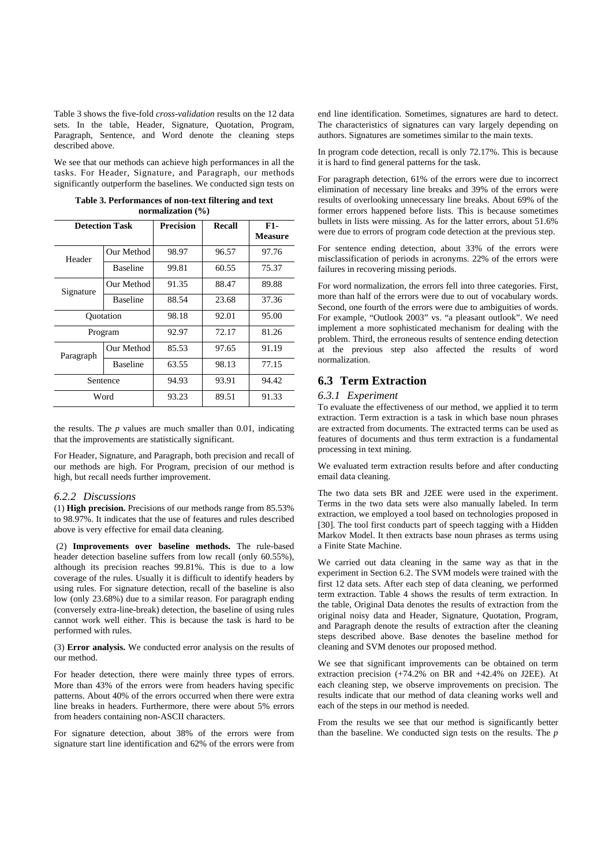Table 3 shows the five-fold *cross-validation* results on the 12 data sets. In the table, Header, Signature, Quotation, Program, Paragraph, Sentence, and Word denote the cleaning steps described above.

We see that our methods can achieve high performances in all the tasks. For Header, Signature, and Paragraph, our methods significantly outperform the baselines. We conducted sign tests on

|                  | <b>Detection Task</b> | <b>Precision</b> | <b>Recall</b> | F1-<br><b>Measure</b> |
|------------------|-----------------------|------------------|---------------|-----------------------|
| Header           | Our Method            | 98.97            | 96.57         | 97.76                 |
|                  | <b>Baseline</b>       | 99.81            | 60.55         | 75.37                 |
|                  | Our Method            | 91.35            | 88.47         | 89.88                 |
| Signature        | <b>Baseline</b>       | 88.54            | 23.68         | 37.36                 |
| <b>Quotation</b> |                       | 98.18            | 92.01         | 95.00                 |
| Program          |                       | 92.97            | 72.17         | 81.26                 |
| Paragraph        | Our Method            | 85.53            | 97.65         | 91.19                 |
|                  | <b>Baseline</b>       | 63.55            | 98.13         | 77.15                 |
| Sentence         |                       | 94.93            | 93.91         | 94.42                 |
| Word             |                       | 93.23            | 89.51         | 91.33                 |

**Table 3. Performances of non-text filtering and text normalization (%)** 

the results. The *p* values are much smaller than 0.01, indicating that the improvements are statistically significant.

For Header, Signature, and Paragraph, both precision and recall of our methods are high. For Program, precision of our method is high, but recall needs further improvement.

#### *6.2.2 Discussions*

(1) **High precision.** Precisions of our methods range from 85.53% to 98.97%. It indicates that the use of features and rules described above is very effective for email data cleaning.

 (2) **Improvements over baseline methods.** The rule-based header detection baseline suffers from low recall (only 60.55%), although its precision reaches 99.81%. This is due to a low coverage of the rules. Usually it is difficult to identify headers by using rules. For signature detection, recall of the baseline is also low (only 23.68%) due to a similar reason. For paragraph ending (conversely extra-line-break) detection, the baseline of using rules cannot work well either. This is because the task is hard to be performed with rules.

(3) **Error analysis.** We conducted error analysis on the results of our method.

For header detection, there were mainly three types of errors. More than 43% of the errors were from headers having specific patterns. About 40% of the errors occurred when there were extra line breaks in headers. Furthermore, there were about 5% errors from headers containing non-ASCII characters.

For signature detection, about 38% of the errors were from signature start line identification and 62% of the errors were from end line identification. Sometimes, signatures are hard to detect. The characteristics of signatures can vary largely depending on authors. Signatures are sometimes similar to the main texts.

In program code detection, recall is only 72.17%. This is because it is hard to find general patterns for the task.

For paragraph detection, 61% of the errors were due to incorrect elimination of necessary line breaks and 39% of the errors were results of overlooking unnecessary line breaks. About 69% of the former errors happened before lists. This is because sometimes bullets in lists were missing. As for the latter errors, about 51.6% were due to errors of program code detection at the previous step.

For sentence ending detection, about 33% of the errors were misclassification of periods in acronyms. 22% of the errors were failures in recovering missing periods.

For word normalization, the errors fell into three categories. First, more than half of the errors were due to out of vocabulary words. Second, one fourth of the errors were due to ambiguities of words. For example, "Outlook 2003" vs. "a pleasant outlook". We need implement a more sophisticated mechanism for dealing with the problem. Third, the erroneous results of sentence ending detection at the previous step also affected the results of word normalization.

# **6.3 Term Extraction**

#### *6.3.1 Experiment*

To evaluate the effectiveness of our method, we applied it to term extraction. Term extraction is a task in which base noun phrases are extracted from documents. The extracted terms can be used as features of documents and thus term extraction is a fundamental processing in text mining.

We evaluated term extraction results before and after conducting email data cleaning.

The two data sets BR and J2EE were used in the experiment. Terms in the two data sets were also manually labeled. In term extraction, we employed a tool based on technologies proposed in [30]. The tool first conducts part of speech tagging with a Hidden Markov Model. It then extracts base noun phrases as terms using a Finite State Machine.

We carried out data cleaning in the same way as that in the experiment in Section 6.2. The SVM models were trained with the first 12 data sets. After each step of data cleaning, we performed term extraction. Table 4 shows the results of term extraction. In the table, Original Data denotes the results of extraction from the original noisy data and Header, Signature, Quotation, Program, and Paragraph denote the results of extraction after the cleaning steps described above. Base denotes the baseline method for cleaning and SVM denotes our proposed method.

We see that significant improvements can be obtained on term extraction precision (+74.2% on BR and +42.4% on J2EE). At each cleaning step, we observe improvements on precision. The results indicate that our method of data cleaning works well and each of the steps in our method is needed.

From the results we see that our method is significantly better than the baseline. We conducted sign tests on the results. The *p*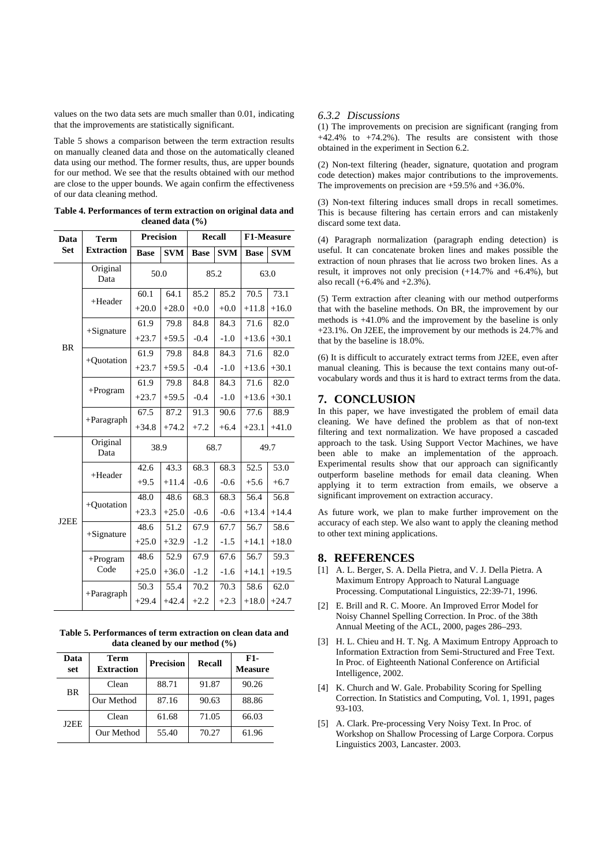values on the two data sets are much smaller than 0.01, indicating that the improvements are statistically significant.

Table 5 shows a comparison between the term extraction results on manually cleaned data and those on the automatically cleaned data using our method. The former results, thus, are upper bounds for our method. We see that the results obtained with our method are close to the upper bounds. We again confirm the effectiveness of our data cleaning method.

| Data       | <b>Term</b>         | <b>Precision</b> |            | Recall      |            | F1-Measure  |            |
|------------|---------------------|------------------|------------|-------------|------------|-------------|------------|
| <b>Set</b> | <b>Extraction</b>   | <b>Base</b>      | <b>SVM</b> | <b>Base</b> | <b>SVM</b> | <b>Base</b> | <b>SVM</b> |
|            | Original<br>Data    | 50.0             |            | 85.2        |            | 63.0        |            |
|            | $+$ Header          | 60.1             | 64.1       | 85.2        | 85.2       | 70.5        | 73.1       |
|            |                     | $+20.0$          | $+28.0$    | $+0.0$      | $+0.0$     | $+11.8$     | $+16.0$    |
|            | $+$ Signature       | 61.9             | 79.8       | 84.8        | 84.3       | 71.6        | 82.0       |
| <b>BR</b>  |                     | $+23.7$          | $+59.5$    | $-0.4$      | $-1.0$     | $+13.6$     | $+30.1$    |
|            | +Quotation          | 61.9             | 79.8       | 84.8        | 84.3       | 71.6        | 82.0       |
|            |                     | $+23.7$          | $+59.5$    | $-0.4$      | $-1.0$     | $+13.6$     | $+30.1$    |
|            | $+$ Program         | 61.9             | 79.8       | 84.8        | 84.3       | 71.6        | 82.0       |
|            |                     | $+23.7$          | $+59.5$    | $-0.4$      | $-1.0$     | $+13.6$     | $+30.1$    |
|            | +Paragraph          | 67.5             | 87.2       | 91.3        | 90.6       | 77.6        | 88.9       |
|            |                     | $+34.8$          | $+74.2$    | $+7.2$      | $+6.4$     | $+23.1$     | $+41.0$    |
|            | Original<br>Data    | 38.9             |            | 68.7        |            | 49.7        |            |
|            | +Header             | 42.6             | 43.3       | 68.3        | 68.3       | 52.5        | 53.0       |
|            |                     | $+9.5$           | $+11.4$    | $-0.6$      | $-0.6$     | $+5.6$      | $+6.7$     |
|            | +Quotation          | 48.0             | 48.6       | 68.3        | 68.3       | 56.4        | 56.8       |
| J2EE       |                     | $+23.3$          | $+25.0$    | $-0.6$      | $-0.6$     | $+13.4$     | $+14.4$    |
|            | $+$ Signature       | 48.6             | 51.2       | 67.9        | 67.7       | 56.7        | 58.6       |
|            |                     | $+25.0$          | $+32.9$    | $-1.2$      | $-1.5$     | $+14.1$     | $+18.0$    |
|            | $+$ Program<br>Code | 48.6             | 52.9       | 67.9        | 67.6       | 56.7        | 59.3       |
|            |                     | $+25.0$          | $+36.0$    | $-1.2$      | $-1.6$     | $+14.1$     | $+19.5$    |
|            |                     | 50.3             | 55.4       | 70.2        | 70.3       | 58.6        | 62.0       |
|            | $+$ Paragraph       | $+29.4$          | $+42.4$    | $+2.2$      | $+2.3$     | $+18.0$     | $+24.7$    |

**Table 4. Performances of term extraction on original data and cleaned data (%)** 

**Table 5. Performances of term extraction on clean data and data cleaned by our method (%)** 

| Data<br>set | <b>Term</b><br><b>Extraction</b> | <b>Precision</b> | Recall | $F1-$<br><b>Measure</b> |
|-------------|----------------------------------|------------------|--------|-------------------------|
| <b>BR</b>   | Clean                            | 88.71            | 91.87  | 90.26                   |
|             | Our Method                       | 87.16            | 90.63  | 88.86                   |
| J2EE        | Clean                            | 61.68            | 71.05  | 66.03                   |
|             | Our Method                       | 55.40            | 70.27  | 61.96                   |

#### *6.3.2 Discussions*

(1) The improvements on precision are significant (ranging from  $+42.4\%$  to  $+74.2\%$ ). The results are consistent with those obtained in the experiment in Section 6.2.

(2) Non-text filtering (header, signature, quotation and program code detection) makes major contributions to the improvements. The improvements on precision are +59.5% and +36.0%.

(3) Non-text filtering induces small drops in recall sometimes. This is because filtering has certain errors and can mistakenly discard some text data.

(4) Paragraph normalization (paragraph ending detection) is useful. It can concatenate broken lines and makes possible the extraction of noun phrases that lie across two broken lines. As a result, it improves not only precision  $(+14.7\%$  and  $+6.4\%)$ , but also recall (+6.4% and +2.3%).

(5) Term extraction after cleaning with our method outperforms that with the baseline methods. On BR, the improvement by our methods is +41.0% and the improvement by the baseline is only +23.1%. On J2EE, the improvement by our methods is 24.7% and that by the baseline is 18.0%.

(6) It is difficult to accurately extract terms from J2EE, even after manual cleaning. This is because the text contains many out-ofvocabulary words and thus it is hard to extract terms from the data.

# **7. CONCLUSION**

In this paper, we have investigated the problem of email data cleaning. We have defined the problem as that of non-text filtering and text normalization. We have proposed a cascaded approach to the task. Using Support Vector Machines, we have been able to make an implementation of the approach. Experimental results show that our approach can significantly outperform baseline methods for email data cleaning. When applying it to term extraction from emails, we observe a significant improvement on extraction accuracy.

As future work, we plan to make further improvement on the accuracy of each step. We also want to apply the cleaning method to other text mining applications.

## **8. REFERENCES**

- [1] A. L. Berger, S. A. Della Pietra, and V. J. Della Pietra. A Maximum Entropy Approach to Natural Language Processing. Computational Linguistics, 22:39-71, 1996.
- [2] E. Brill and R. C. Moore. An Improved Error Model for Noisy Channel Spelling Correction. In Proc. of the 38th Annual Meeting of the ACL, 2000, pages 286–293.
- [3] H. L. Chieu and H. T. Ng. A Maximum Entropy Approach to Information Extraction from Semi-Structured and Free Text. In Proc. of Eighteenth National Conference on Artificial Intelligence, 2002.
- [4] K. Church and W. Gale. Probability Scoring for Spelling Correction. In Statistics and Computing, Vol. 1, 1991, pages 93-103.
- [5] A. Clark. Pre-processing Very Noisy Text. In Proc. of Workshop on Shallow Processing of Large Corpora. Corpus Linguistics 2003, Lancaster. 2003.